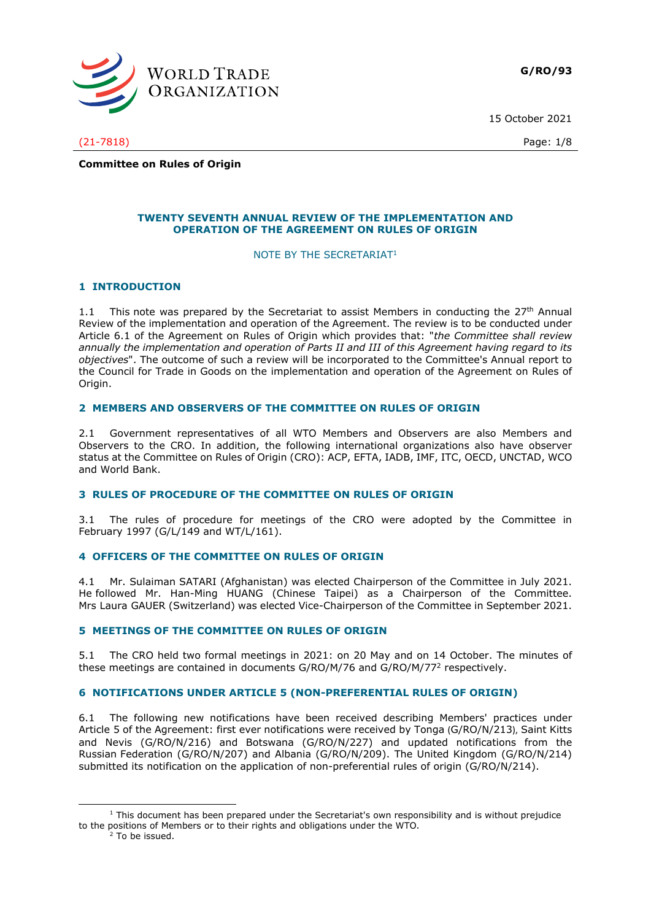

15 October 2021

(21-7818) Page: 1/8

**Committee on Rules of Origin**

## **TWENTY SEVENTH ANNUAL REVIEW OF THE IMPLEMENTATION AND OPERATION OF THE AGREEMENT ON RULES OF ORIGIN**

#### NOTE BY THE SECRETARIAT<sup>1</sup>

## **1 INTRODUCTION**

1.1 This note was prepared by the Secretariat to assist Members in conducting the  $27<sup>th</sup>$  Annual Review of the implementation and operation of the Agreement. The review is to be conducted under Article 6.1 of the Agreement on Rules of Origin which provides that: "*the Committee shall review annually the implementation and operation of Parts II and III of this Agreement having regard to its objectives*". The outcome of such a review will be incorporated to the Committee's Annual report to the Council for Trade in Goods on the implementation and operation of the Agreement on Rules of Origin.

## **2 MEMBERS AND OBSERVERS OF THE COMMITTEE ON RULES OF ORIGIN**

2.1 Government representatives of all WTO Members and Observers are also Members and Observers to the CRO. In addition, the following international organizations also have observer status at the Committee on Rules of Origin (CRO): ACP, EFTA, IADB, IMF, ITC, OECD, UNCTAD, WCO and World Bank.

## **3 RULES OF PROCEDURE OF THE COMMITTEE ON RULES OF ORIGIN**

3.1 The rules of procedure for meetings of the CRO were adopted by the Committee in February 1997 (G/L/149 and WT/L/161).

# **4 OFFICERS OF THE COMMITTEE ON RULES OF ORIGIN**

4.1 Mr. Sulaiman SATARI (Afghanistan) was elected Chairperson of the Committee in July 2021. He followed Mr. Han-Ming HUANG (Chinese Taipei) as a Chairperson of the Committee. Mrs Laura GAUER (Switzerland) was elected Vice-Chairperson of the Committee in September 2021.

# **5 MEETINGS OF THE COMMITTEE ON RULES OF ORIGIN**

5.1 The CRO held two formal meetings in 2021: on 20 May and on 14 October. The minutes of these meetings are contained in documents G/RO/M/76 and G/RO/M/77 2 respectively.

## **6 NOTIFICATIONS UNDER ARTICLE 5 (NON-PREFERENTIAL RULES OF ORIGIN)**

6.1 The following new notifications have been received describing Members' practices under Article 5 of the Agreement: first ever notifications were received by Tonga (G/RO/N/213), Saint Kitts and Nevis (G/RO/N/216) and Botswana (G/RO/N/227) and updated notifications from the Russian Federation (G/RO/N/207) and Albania (G/RO/N/209). The United Kingdom (G/RO/N/214) submitted its notification on the application of non-preferential rules of origin (G/RO/N/214).

<sup>&</sup>lt;sup>1</sup> This document has been prepared under the Secretariat's own responsibility and is without prejudice to the positions of Members or to their rights and obligations under the WTO.

<sup>&</sup>lt;sup>2</sup> To be issued.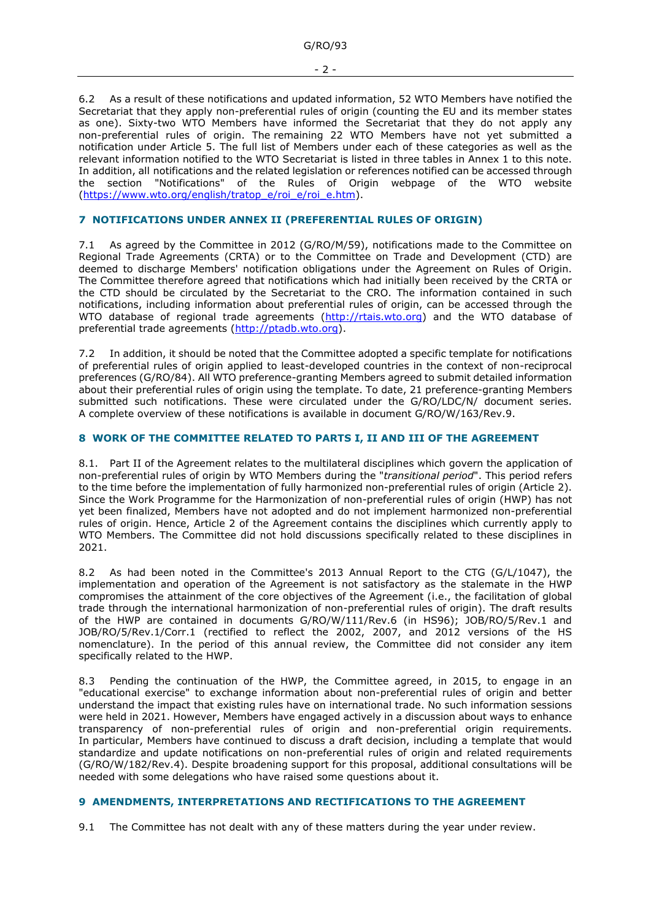6.2 As a result of these notifications and updated information, 52 WTO Members have notified the Secretariat that they apply non-preferential rules of origin (counting the EU and its member states as one). Sixty-two WTO Members have informed the Secretariat that they do not apply any non-preferential rules of origin. The remaining 22 WTO Members have not yet submitted a notification under Article 5. The full list of Members under each of these categories as well as the relevant information notified to the WTO Secretariat is listed in three tables in Annex 1 to this note. In addition, all notifications and the related legislation or references notified can be accessed through the section "Notifications" of the Rules of Origin webpage of the WTO website [\(https://www.wto.org/english/tratop\\_e/roi\\_e/roi\\_e.htm\)](https://www.wto.org/english/tratop_e/roi_e/roi_e.htm).

# **7 NOTIFICATIONS UNDER ANNEX II (PREFERENTIAL RULES OF ORIGIN)**

As agreed by the Committee in 2012 (G/RO/M/59), notifications made to the Committee on Regional Trade Agreements (CRTA) or to the Committee on Trade and Development (CTD) are deemed to discharge Members' notification obligations under the Agreement on Rules of Origin. The Committee therefore agreed that notifications which had initially been received by the CRTA or the CTD should be circulated by the Secretariat to the CRO. The information contained in such notifications, including information about preferential rules of origin, can be accessed through the WTO database of regional trade agreements [\(http://rtais.wto.org\)](http://rtais.wto.org/) and the WTO database of preferential trade agreements [\(http://ptadb.wto.org\)](http://ptadb.wto.org/).

7.2 In addition, it should be noted that the Committee adopted a specific template for notifications of preferential rules of origin applied to least-developed countries in the context of non-reciprocal preferences (G/RO/84). All WTO preference-granting Members agreed to submit detailed information about their preferential rules of origin using the template. To date, 21 preference-granting Members submitted such notifications. These were circulated under the G/RO/LDC/N/ document series. A complete overview of these notifications is available in document G/RO/W/163/Rev.9.

## **8 WORK OF THE COMMITTEE RELATED TO PARTS I, II AND III OF THE AGREEMENT**

8.1. Part II of the Agreement relates to the multilateral disciplines which govern the application of non-preferential rules of origin by WTO Members during the "*transitional period*". This period refers to the time before the implementation of fully harmonized non-preferential rules of origin (Article 2). Since the Work Programme for the Harmonization of non-preferential rules of origin (HWP) has not yet been finalized, Members have not adopted and do not implement harmonized non-preferential rules of origin. Hence, Article 2 of the Agreement contains the disciplines which currently apply to WTO Members. The Committee did not hold discussions specifically related to these disciplines in 2021.

8.2 As had been noted in the Committee's 2013 Annual Report to the CTG (G/L/1047), the implementation and operation of the Agreement is not satisfactory as the stalemate in the HWP compromises the attainment of the core objectives of the Agreement (i.e., the facilitation of global trade through the international harmonization of non-preferential rules of origin). The draft results of the HWP are contained in documents G/RO/W/111/Rev.6 (in HS96); JOB/RO/5/Rev.1 and JOB/RO/5/Rev.1/Corr.1 (rectified to reflect the 2002, 2007, and 2012 versions of the HS nomenclature). In the period of this annual review, the Committee did not consider any item specifically related to the HWP.

8.3 Pending the continuation of the HWP, the Committee agreed, in 2015, to engage in an "educational exercise" to exchange information about non-preferential rules of origin and better understand the impact that existing rules have on international trade. No such information sessions were held in 2021. However, Members have engaged actively in a discussion about ways to enhance transparency of non-preferential rules of origin and non-preferential origin requirements. In particular, Members have continued to discuss a draft decision, including a template that would standardize and update notifications on non-preferential rules of origin and related requirements (G/RO/W/182/Rev.4). Despite broadening support for this proposal, additional consultations will be needed with some delegations who have raised some questions about it.

# **9 AMENDMENTS, INTERPRETATIONS AND RECTIFICATIONS TO THE AGREEMENT**

9.1 The Committee has not dealt with any of these matters during the year under review.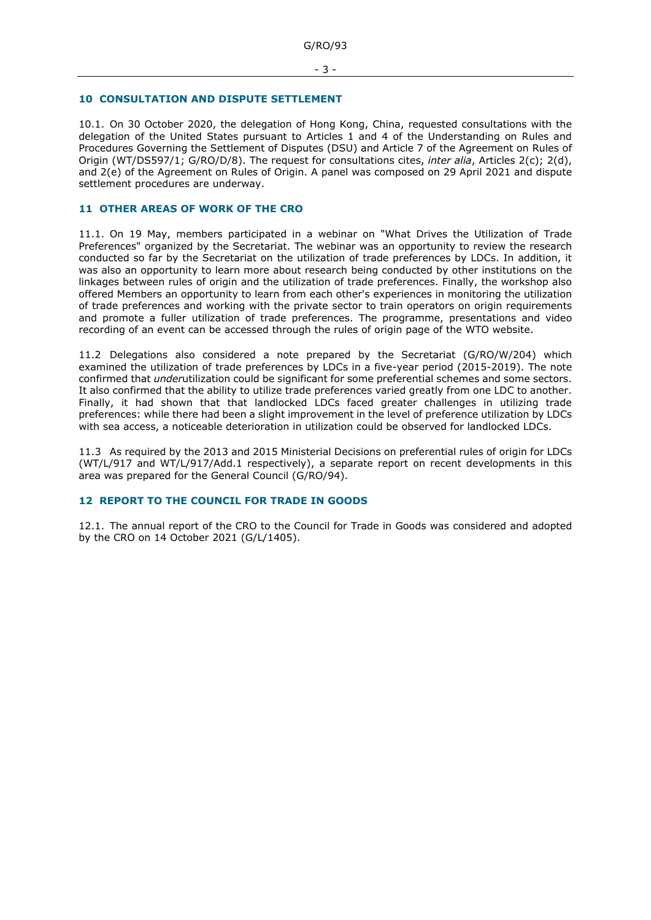#### **10 CONSULTATION AND DISPUTE SETTLEMENT**

10.1. On 30 October 2020, the delegation of Hong Kong, China, requested consultations with the delegation of the United States pursuant to Articles 1 and 4 of the Understanding on Rules and Procedures Governing the Settlement of Disputes (DSU) and Article 7 of the Agreement on Rules of Origin (WT/DS597/1; G/RO/D/8). The request for consultations cites, *inter alia*, Articles 2(c); 2(d), and 2(e) of the Agreement on Rules of Origin. A panel was composed on 29 April 2021 and dispute settlement procedures are underway.

# **11 OTHER AREAS OF WORK OF THE CRO**

11.1. On 19 May, members participated in a webinar on "What Drives the Utilization of Trade Preferences" organized by the Secretariat. The webinar was an opportunity to review the research conducted so far by the Secretariat on the utilization of trade preferences by LDCs. In addition, it was also an opportunity to learn more about research being conducted by other institutions on the linkages between rules of origin and the utilization of trade preferences. Finally, the workshop also offered Members an opportunity to learn from each other's experiences in monitoring the utilization of trade preferences and working with the private sector to train operators on origin requirements and promote a fuller utilization of trade preferences. The programme, presentations and video recording of an event can be accessed through the rules of origin page of the WTO website.

11.2 Delegations also considered a note prepared by the Secretariat (G/RO/W/204) which examined the utilization of trade preferences by LDCs in a five-year period (2015-2019). The note confirmed that *under*utilization could be significant for some preferential schemes and some sectors. It also confirmed that the ability to utilize trade preferences varied greatly from one LDC to another. Finally, it had shown that that landlocked LDCs faced greater challenges in utilizing trade preferences: while there had been a slight improvement in the level of preference utilization by LDCs with sea access, a noticeable deterioration in utilization could be observed for landlocked LDCs.

11.3 As required by the 2013 and 2015 Ministerial Decisions on preferential rules of origin for LDCs (WT/L/917 and WT/L/917/Add.1 respectively), a separate report on recent developments in this area was prepared for the General Council (G/RO/94).

## **12 REPORT TO THE COUNCIL FOR TRADE IN GOODS**

12.1. The annual report of the CRO to the Council for Trade in Goods was considered and adopted by the CRO on 14 October 2021 (G/L/1405).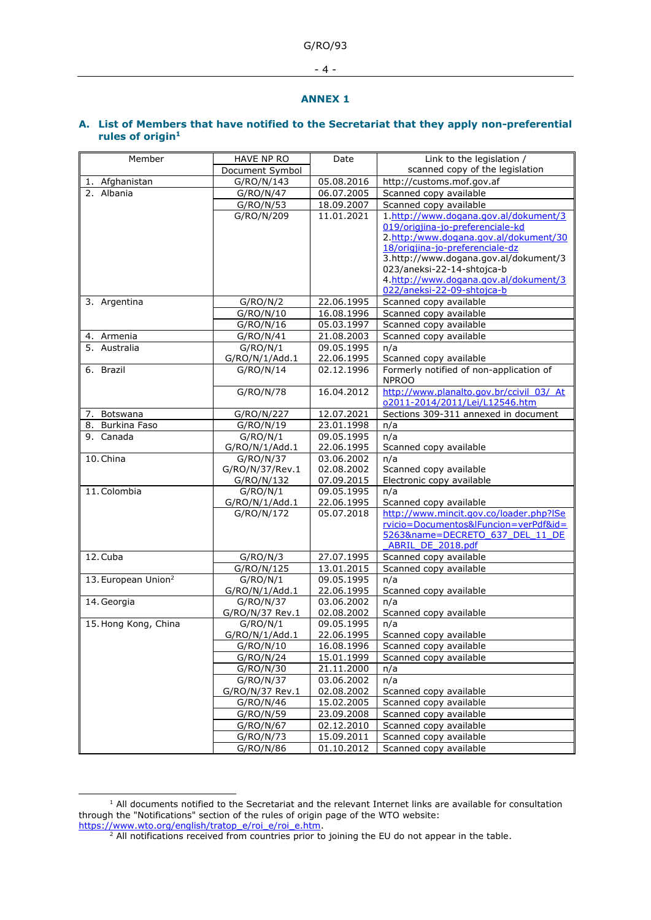G/RO/93

- 4 -

#### **ANNEX 1**

## **A. List of Members that have notified to the Secretariat that they apply non-preferential rules of origin<sup>1</sup>**

| Member                          | HAVE NP RO      | Date       | Link to the legislation /                                                  |
|---------------------------------|-----------------|------------|----------------------------------------------------------------------------|
|                                 | Document Symbol |            | scanned copy of the legislation                                            |
| 1. Afghanistan                  | G/RO/N/143      | 05.08.2016 | http://customs.mof.gov.af                                                  |
| 2. Albania                      | G/RO/N/47       | 06.07.2005 | Scanned copy available                                                     |
|                                 | G/RO/N/53       | 18.09.2007 | Scanned copy available                                                     |
|                                 | G/RO/N/209      | 11.01.2021 | 1.http://www.dogana.gov.al/dokument/3                                      |
|                                 |                 |            | 019/origjina-jo-preferenciale-kd                                           |
|                                 |                 |            | 2.http:/www.dogana.gov.al/dokument/30                                      |
|                                 |                 |            | 18/origjina-jo-preferenciale-dz                                            |
|                                 |                 |            | 3.http://www.dogana.gov.al/dokument/3                                      |
|                                 |                 |            | 023/aneksi-22-14-shtojca-b<br>4.http://www.dogana.gov.al/dokument/3        |
|                                 |                 |            | 022/aneksi-22-09-shtojca-b                                                 |
| 3. Argentina                    | G/RO/N/2        | 22.06.1995 | Scanned copy available                                                     |
|                                 | G/RO/N/10       | 16.08.1996 | Scanned copy available                                                     |
|                                 | G/RO/N/16       | 05.03.1997 | Scanned copy available                                                     |
| 4. Armenia                      | G/RO/N/41       | 21.08.2003 | Scanned copy available                                                     |
| 5. Australia                    | G/RO/N/1        | 09.05.1995 | n/a                                                                        |
|                                 | G/RO/N/1/Add.1  | 22.06.1995 | Scanned copy available                                                     |
| 6. Brazil                       | G/RO/N/14       | 02.12.1996 | Formerly notified of non-application of<br><b>NPROO</b>                    |
|                                 | G/RO/N/78       | 16.04.2012 | http://www.planalto.gov.br/ccivil 03/ At<br>o2011-2014/2011/Lei/L12546.htm |
| 7. Botswana                     | G/RO/N/227      | 12.07.2021 | Sections 309-311 annexed in document                                       |
| 8. Burkina Faso                 | G/RO/N/19       | 23.01.1998 | n/a                                                                        |
| 9. Canada                       | G/RO/N/1        | 09.05.1995 | n/a                                                                        |
|                                 | G/RO/N/1/Add.1  | 22.06.1995 | Scanned copy available                                                     |
| 10. China                       | G/RO/N/37       | 03.06.2002 | n/a                                                                        |
|                                 | G/RO/N/37/Rev.1 | 02.08.2002 | Scanned copy available                                                     |
|                                 | G/RO/N/132      | 07.09.2015 | Electronic copy available                                                  |
| 11. Colombia                    | G/RO/N/1        | 09.05.1995 | n/a                                                                        |
|                                 | G/RO/N/1/Add.1  | 22.06.1995 | Scanned copy available                                                     |
|                                 | G/RO/N/172      | 05.07.2018 | http://www.mincit.gov.co/loader.php?ISe                                    |
|                                 |                 |            | rvicio=Documentos&lFuncion=verPdf&id=<br>5263&name=DECRETO 637 DEL 11 DE   |
|                                 |                 |            | <b>ABRIL DE 2018.pdf</b>                                                   |
| 12. Cuba                        | G/RO/N/3        | 27.07.1995 | Scanned copy available                                                     |
|                                 | G/RO/N/125      | 13.01.2015 | Scanned copy available                                                     |
| 13. European Union <sup>2</sup> | G/RO/N/1        | 09.05.1995 | n/a                                                                        |
|                                 | G/RO/N/1/Add.1  | 22.06.1995 | Scanned copy available                                                     |
| 14. Georgia                     | G/RO/N/37       | 03.06.2002 | n/a                                                                        |
|                                 | G/RO/N/37 Rev.1 | 02.08.2002 | Scanned copy available                                                     |
| 15. Hong Kong, China            | G/RO/N/1        | 09.05.1995 | n/a                                                                        |
|                                 | G/RO/N/1/Add.1  | 22.06.1995 | Scanned copy available                                                     |
|                                 | G/RO/N/10       | 16.08.1996 | Scanned copy available                                                     |
|                                 | G/RO/N/24       | 15.01.1999 | Scanned copy available                                                     |
|                                 | G/RO/N/30       | 21.11.2000 | n/a                                                                        |
|                                 | G/RO/N/37       | 03.06.2002 | n/a                                                                        |
|                                 | G/RO/N/37 Rev.1 | 02.08.2002 | Scanned copy available                                                     |
|                                 | G/RO/N/46       | 15.02.2005 | Scanned copy available                                                     |
|                                 | G/RO/N/59       | 23.09.2008 | Scanned copy available                                                     |
|                                 | G/RO/N/67       | 02.12.2010 | Scanned copy available                                                     |
|                                 | G/RO/N/73       | 15.09.2011 | Scanned copy available                                                     |
|                                 | G/RO/N/86       | 01.10.2012 | Scanned copy available                                                     |

 $<sup>1</sup>$  All documents notified to the Secretariat and the relevant Internet links are available for consultation</sup> through the "Notifications" section of the rules of origin page of the WTO website: [https://www.wto.org/english/tratop\\_e/roi\\_e/roi\\_e.htm.](https://www.wto.org/english/tratop_e/roi_e/roi_e.htm)

 $2$  All notifications received from countries prior to joining the EU do not appear in the table.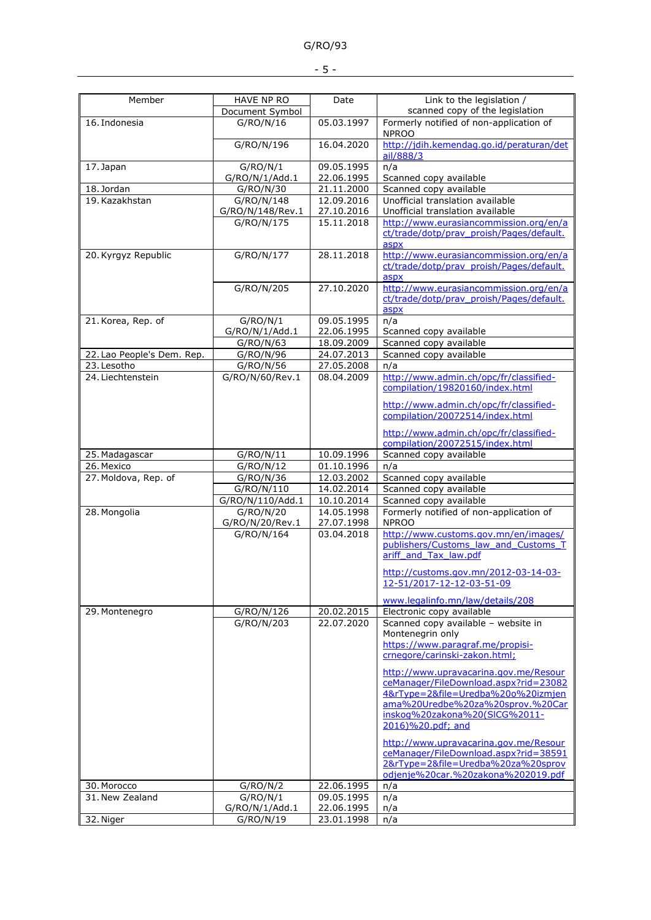| $\overline{\phantom{a}}$ |  |  |  |  |
|--------------------------|--|--|--|--|
|--------------------------|--|--|--|--|

| Member                     | <b>HAVE NP RO</b><br>Document Symbol | Date                     | Link to the legislation /<br>scanned copy of the legislation                               |  |
|----------------------------|--------------------------------------|--------------------------|--------------------------------------------------------------------------------------------|--|
| 16. Indonesia              | G/RO/N/16                            | 05.03.1997               | Formerly notified of non-application of<br><b>NPROO</b>                                    |  |
|                            | G/RO/N/196                           | 16.04.2020               | http://jdih.kemendag.go.id/peraturan/det<br>ail/888/3                                      |  |
| 17. Japan                  | G/RO/N/1<br>G/RO/N/1/Add.1           | 09.05.1995<br>22.06.1995 | n/a<br>Scanned copy available                                                              |  |
| 18. Jordan                 | G/RO/N/30                            | 21.11.2000               | Scanned copy available                                                                     |  |
| 19. Kazakhstan             | G/RO/N/148                           | 12.09.2016               | Unofficial translation available                                                           |  |
|                            | G/RO/N/148/Rev.1                     | 27.10.2016               | Unofficial translation available                                                           |  |
|                            | G/RO/N/175                           | 15.11.2018               | http://www.eurasiancommission.org/en/a<br>ct/trade/dotp/prav_proish/Pages/default.<br>aspx |  |
| 20. Kyrgyz Republic        | G/RO/N/177                           | 28.11.2018               | http://www.eurasiancommission.org/en/a<br>ct/trade/dotp/prav proish/Pages/default.<br>aspx |  |
|                            | G/RO/N/205                           | 27.10.2020               | http://www.eurasiancommission.org/en/a<br>ct/trade/dotp/prav proish/Pages/default.<br>aspx |  |
| 21. Korea, Rep. of         | G/RO/N/1                             | 09.05.1995               | n/a                                                                                        |  |
|                            | G/RO/N/1/Add.1                       | 22.06.1995               | Scanned copy available                                                                     |  |
|                            | G/RO/N/63                            | 18.09.2009               | Scanned copy available                                                                     |  |
| 22. Lao People's Dem. Rep. | G/RO/N/96                            | 24.07.2013               | Scanned copy available                                                                     |  |
| 23. Lesotho                | G/RO/N/56                            | 27.05.2008               | n/a                                                                                        |  |
| 24. Liechtenstein          | G/RO/N/60/Rev.1                      | 08.04.2009               | http://www.admin.ch/opc/fr/classified-<br>compilation/19820160/index.html                  |  |
|                            |                                      |                          | http://www.admin.ch/opc/fr/classified-<br>compilation/20072514/index.html                  |  |
|                            |                                      |                          | http://www.admin.ch/opc/fr/classified-<br>compilation/20072515/index.html                  |  |
| 25. Madagascar             | G/RO/N/11                            | 10.09.1996               | Scanned copy available                                                                     |  |
| 26. Mexico                 | G/RO/N/12                            | 01.10.1996               | n/a                                                                                        |  |
| 27. Moldova, Rep. of       | G/RO/N/36                            | 12.03.2002               | Scanned copy available                                                                     |  |
|                            | G/RO/N/110                           | 14.02.2014               | Scanned copy available                                                                     |  |
|                            | G/RO/N/110/Add.1                     | 10.10.2014               | Scanned copy available                                                                     |  |
| 28. Mongolia               | G/RO/N/20                            | 14.05.1998               | Formerly notified of non-application of                                                    |  |
|                            | G/RO/N/20/Rev.1<br>G/RO/N/164        | 27.07.1998               | <b>NPROO</b><br>http://www.customs.gov.mn/en/images/                                       |  |
|                            |                                      | 03.04.2018               | publishers/Customs law and Customs T<br>ariff and Tax law.pdf                              |  |
|                            |                                      |                          | http://customs.gov.mn/2012-03-14-03-<br>12-51/2017-12-12-03-51-09                          |  |
|                            |                                      |                          | www.legalinfo.mn/law/details/208                                                           |  |
| 29. Montenegro             | G/RO/N/126                           | 20.02.2015               | Electronic copy available                                                                  |  |
|                            | G/RO/N/203                           | 22.07.2020               | Scanned copy available - website in                                                        |  |
|                            |                                      |                          | Montenegrin only                                                                           |  |
|                            |                                      |                          |                                                                                            |  |
|                            |                                      |                          | https://www.paragraf.me/propisi-                                                           |  |
|                            |                                      |                          | crnegore/carinski-zakon.html;                                                              |  |
|                            |                                      |                          | http://www.upravacarina.gov.me/Resour                                                      |  |
|                            |                                      |                          | ceManager/FileDownload.aspx?rid=23082                                                      |  |
|                            |                                      |                          | 4&rType=2&file=Uredba%20o%20izmjen                                                         |  |
|                            |                                      |                          | ama%20Uredbe%20za%20sprov.%20Car                                                           |  |
|                            |                                      |                          | inskog%20zakona%20(SICG%2011-<br>2016)%20.pdf; and                                         |  |
|                            |                                      |                          |                                                                                            |  |
|                            |                                      |                          | http://www.upravacarina.gov.me/Resour<br>ceManager/FileDownload.aspx?rid=38591             |  |
|                            |                                      |                          | 2&rType=2&file=Uredba%20za%20sprov                                                         |  |
|                            |                                      |                          | odjenje%20car.%20zakona%202019.pdf                                                         |  |
| 30. Morocco                | G/RO/N/2                             | 22.06.1995               | n/a                                                                                        |  |
| 31. New Zealand            | G/RO/N/1                             | $\overline{09.05.1995}$  | n/a                                                                                        |  |
| 32. Niger                  | G/RO/N/1/Add.1<br>G/RO/N/19          | 22.06.1995<br>23.01.1998 | n/a<br>n/a                                                                                 |  |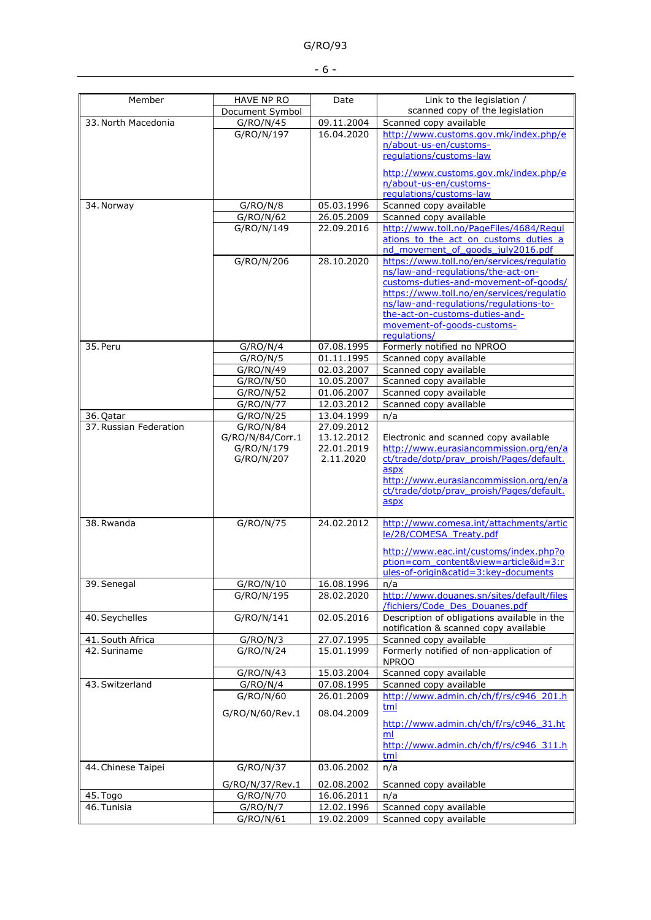| Member                 | HAVE NP RO       | Date       | Link to the legislation /                                                          |
|------------------------|------------------|------------|------------------------------------------------------------------------------------|
|                        | Document Symbol  |            | scanned copy of the legislation                                                    |
| 33. North Macedonia    | G/RO/N/45        | 09.11.2004 | Scanned copy available                                                             |
|                        | G/RO/N/197       | 16.04.2020 | http://www.customs.gov.mk/index.php/e                                              |
|                        |                  |            | n/about-us-en/customs-<br>regulations/customs-law                                  |
|                        |                  |            |                                                                                    |
|                        |                  |            | http://www.customs.gov.mk/index.php/e                                              |
|                        |                  |            | n/about-us-en/customs-                                                             |
|                        |                  |            | requlations/customs-law                                                            |
| 34. Norway             | G/RO/N/8         | 05.03.1996 | Scanned copy available                                                             |
|                        | G/RO/N/62        | 26.05.2009 | Scanned copy available                                                             |
|                        | G/RO/N/149       | 22.09.2016 | http://www.toll.no/PageFiles/4684/Regul                                            |
|                        |                  |            | ations to the act on customs duties a                                              |
|                        |                  |            | nd movement of goods july2016.pdf                                                  |
|                        | G/RO/N/206       | 28.10.2020 | https://www.toll.no/en/services/regulatio                                          |
|                        |                  |            | ns/law-and-regulations/the-act-on-                                                 |
|                        |                  |            | customs-duties-and-movement-of-goods/<br>https://www.toll.no/en/services/regulatio |
|                        |                  |            | ns/law-and-regulations/regulations-to-                                             |
|                        |                  |            | the-act-on-customs-duties-and-                                                     |
|                        |                  |            | movement-of-goods-customs-                                                         |
|                        |                  |            | regulations/                                                                       |
| 35. Peru               | G/RO/N/4         | 07.08.1995 | Formerly notified no NPROO                                                         |
|                        | G/RO/N/5         | 01.11.1995 | Scanned copy available                                                             |
|                        | G/RO/N/49        | 02.03.2007 | Scanned copy available                                                             |
|                        | G/RO/N/50        | 10.05.2007 | Scanned copy available                                                             |
|                        | G/RO/N/52        | 01.06.2007 | Scanned copy available                                                             |
|                        | G/RO/N/77        | 12.03.2012 | Scanned copy available                                                             |
| 36. Qatar              | G/RO/N/25        | 13.04.1999 | n/a                                                                                |
| 37. Russian Federation | G/RO/N/84        | 27.09.2012 |                                                                                    |
|                        | G/RO/N/84/Corr.1 | 13.12.2012 | Electronic and scanned copy available                                              |
|                        | G/RO/N/179       | 22.01.2019 | http://www.eurasiancommission.org/en/a                                             |
|                        | G/RO/N/207       | 2.11.2020  | ct/trade/dotp/prav proish/Pages/default.                                           |
|                        |                  |            | aspx                                                                               |
|                        |                  |            | http://www.eurasiancommission.org/en/a                                             |
|                        |                  |            | ct/trade/dotp/prav proish/Pages/default.<br>aspx                                   |
|                        |                  |            |                                                                                    |
| 38. Rwanda             | G/RO/N/75        | 24.02.2012 | http://www.comesa.int/attachments/artic                                            |
|                        |                  |            | le/28/COMESA Treaty.pdf                                                            |
|                        |                  |            |                                                                                    |
|                        |                  |            | http://www.eac.int/customs/index.php?o                                             |
|                        |                  |            | ption=com_content&view=article&id=3:r                                              |
|                        |                  |            | ules-of-origin&catid=3:key-documents                                               |
| 39. Senegal            | G/RO/N/10        | 16.08.1996 | n/a<br>http://www.douanes.sn/sites/default/files                                   |
|                        | G/RO/N/195       | 28.02.2020 | /fichiers/Code Des Douanes.pdf                                                     |
| 40. Seychelles         | G/RO/N/141       | 02.05.2016 | Description of obligations available in the                                        |
|                        |                  |            | notification & scanned copy available                                              |
| 41. South Africa       | G/RO/N/3         | 27.07.1995 | Scanned copy available                                                             |
| 42. Suriname           | G/RO/N/24        | 15.01.1999 | Formerly notified of non-application of                                            |
|                        |                  |            | <b>NPROO</b>                                                                       |
|                        | G/RO/N/43        | 15.03.2004 | Scanned copy available                                                             |
| 43. Switzerland        | G/RO/N/4         | 07.08.1995 | Scanned copy available                                                             |
|                        | G/RO/N/60        | 26.01.2009 | http://www.admin.ch/ch/f/rs/c946 201.h                                             |
|                        |                  |            | tml                                                                                |
|                        | G/RO/N/60/Rev.1  | 08.04.2009 |                                                                                    |
|                        |                  |            | http://www.admin.ch/ch/f/rs/c946 31.ht<br>ml                                       |
|                        |                  |            | http://www.admin.ch/ch/f/rs/c946 311.h                                             |
|                        |                  |            | tml                                                                                |
| 44. Chinese Taipei     | G/RO/N/37        | 03.06.2002 | n/a                                                                                |
|                        |                  |            |                                                                                    |
|                        | G/RO/N/37/Rev.1  | 02.08.2002 | Scanned copy available                                                             |
| 45. Togo               | G/RO/N/70        | 16.06.2011 | n/a                                                                                |
| 46. Tunisia            | G/RO/N/7         | 12.02.1996 | Scanned copy available                                                             |
|                        | G/RO/N/61        | 19.02.2009 | Scanned copy available                                                             |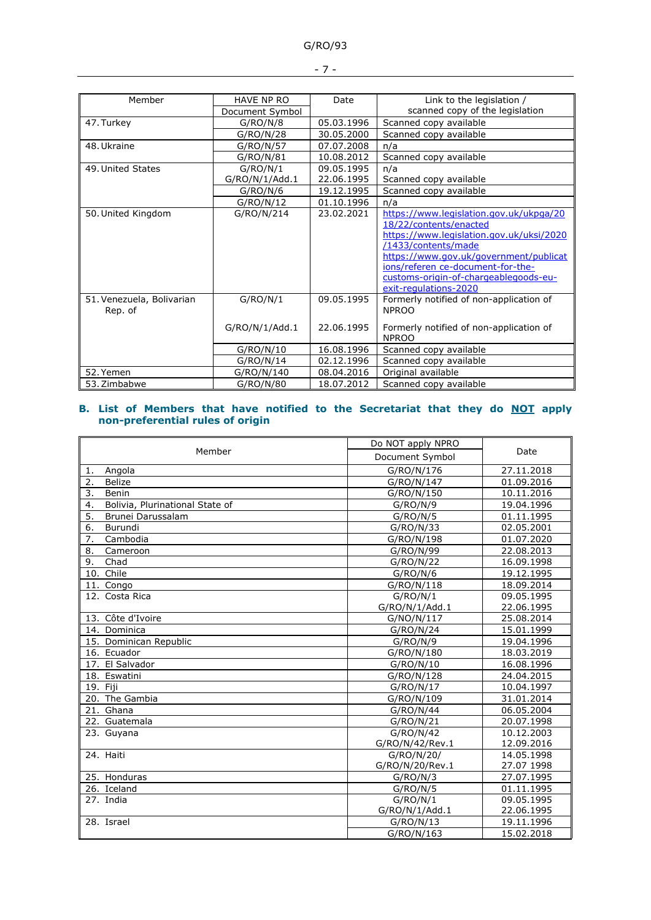|--|--|

| Member                    | <b>HAVE NP RO</b> | Date       | Link to the legislation /                |  |
|---------------------------|-------------------|------------|------------------------------------------|--|
|                           | Document Symbol   |            | scanned copy of the legislation          |  |
| 47. Turkey                | G/RO/N/8          | 05.03.1996 | Scanned copy available                   |  |
|                           | G/RO/N/28         | 30.05.2000 | Scanned copy available                   |  |
| 48. Ukraine               | G/RO/N/57         | 07.07.2008 | n/a                                      |  |
|                           | G/RO/N/81         | 10.08.2012 | Scanned copy available                   |  |
| 49. United States         | G/RO/N/1          | 09.05.1995 | n/a                                      |  |
|                           | G/RO/N/1/Add.1    | 22.06.1995 | Scanned copy available                   |  |
|                           | G/RO/N/6          | 19.12.1995 | Scanned copy available                   |  |
|                           | G/RO/N/12         | 01.10.1996 | n/a                                      |  |
| 50. United Kingdom        | G/RO/N/214        | 23.02.2021 | https://www.legislation.gov.uk/ukpga/20  |  |
|                           |                   |            | 18/22/contents/enacted                   |  |
|                           |                   |            | https://www.legislation.gov.uk/uksi/2020 |  |
|                           |                   |            | /1433/contents/made                      |  |
|                           |                   |            | https://www.gov.uk/government/publicat   |  |
|                           |                   |            | ions/referen ce-document-for-the-        |  |
|                           |                   |            | customs-origin-of-chargeablegoods-eu-    |  |
|                           |                   |            | exit-regulations-2020                    |  |
| 51. Venezuela, Bolivarian | G/RO/N/1          | 09.05.1995 | Formerly notified of non-application of  |  |
| Rep. of                   |                   |            | <b>NPROO</b>                             |  |
|                           | G/RO/N/1/Add.1    | 22.06.1995 | Formerly notified of non-application of  |  |
|                           |                   |            | <b>NPROO</b>                             |  |
|                           | G/RO/N/10         | 16.08.1996 | Scanned copy available                   |  |
|                           | G/RO/N/14         | 02.12.1996 | Scanned copy available                   |  |
| 52. Yemen                 | G/RO/N/140        | 08.04.2016 | Original available                       |  |
| 53. Zimbabwe              | G/RO/N/80         | 18.07.2012 | Scanned copy available                   |  |

#### **B. List of Members that have notified to the Secretariat that they do NOT apply non-preferential rules of origin**

|                                       | Do NOT apply NPRO |            |  |
|---------------------------------------|-------------------|------------|--|
| Member                                | Document Symbol   | Date       |  |
| Angola<br>1.                          | G/RO/N/176        | 27.11.2018 |  |
| 2.<br><b>Belize</b>                   | G/RO/N/147        | 01.09.2016 |  |
| 3.<br>Benin                           | G/RO/N/150        | 10.11.2016 |  |
| 4.<br>Bolivia, Plurinational State of | G/RO/N/9          | 19.04.1996 |  |
| 5.<br>Brunei Darussalam               | G/RO/N/5          | 01.11.1995 |  |
| 6.<br>Burundi                         | G/RO/N/33         | 02.05.2001 |  |
| 7.<br>Cambodia                        | G/RO/N/198        | 01.07.2020 |  |
| 8.<br>Cameroon                        | G/RO/N/99         | 22.08.2013 |  |
| 9.<br>Chad                            | G/RO/N/22         | 16.09.1998 |  |
| 10. Chile                             | G/RO/N/6          | 19.12.1995 |  |
| 11. Congo                             | G/RO/N/118        | 18.09.2014 |  |
| 12. Costa Rica                        | G/RO/N/1          | 09.05.1995 |  |
|                                       | G/RO/N/1/Add.1    | 22.06.1995 |  |
| 13. Côte d'Ivoire                     | G/NO/N/117        | 25.08.2014 |  |
| 14. Dominica                          | G/RO/N/24         | 15.01.1999 |  |
| 15. Dominican Republic                | G/RO/N/9          | 19.04.1996 |  |
| 16. Ecuador                           | G/RO/N/180        | 18.03.2019 |  |
| 17. El Salvador                       | G/RO/N/10         | 16.08.1996 |  |
| 18. Eswatini                          | G/RO/N/128        | 24.04.2015 |  |
| 19. Fiii                              | G/RO/N/17         | 10.04.1997 |  |
| 20. The Gambia                        | G/RO/N/109        | 31.01.2014 |  |
| 21. Ghana                             | G/RO/N/44         | 06.05.2004 |  |
| 22. Guatemala                         | G/RO/N/21         | 20.07.1998 |  |
| 23. Guyana                            | G/RO/N/42         | 10.12.2003 |  |
|                                       | G/RO/N/42/Rev.1   | 12.09.2016 |  |
| 24. Haiti                             | G/RO/N/20/        | 14.05.1998 |  |
|                                       | G/RO/N/20/Rev.1   | 27.07 1998 |  |
| 25. Honduras                          | G/RO/N/3          | 27.07.1995 |  |
| 26. Iceland                           | G/RO/N/5          | 01.11.1995 |  |
| 27. India                             | G/RO/N/1          | 09.05.1995 |  |
|                                       | G/RO/N/1/Add.1    | 22.06.1995 |  |
| 28. Israel                            | G/RO/N/13         | 19.11.1996 |  |
|                                       | G/RO/N/163        | 15.02.2018 |  |